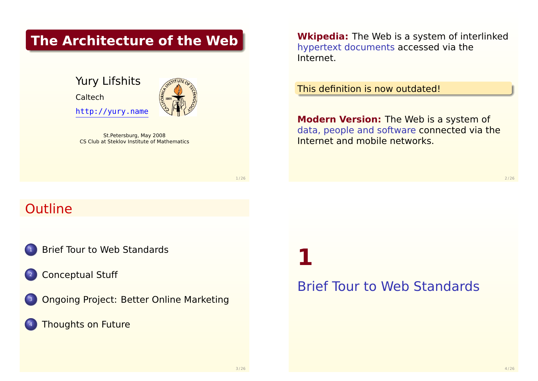### **The Architecture of the Web**

Yury Lifshits Caltech http://yury.name

St.Petersburg, May 2008 CS Club at Steklov Institute of Mathematics **Wkipedia:** The Web is a system of interlinked hypertext documents accessed via the Internet.

This definition is now outdated!

**Modern Version:** The Web is a system of data, people and software connected via the Internet and mobile networks.

 $2/26$ 

# **Outline**

- **[Brief Tour to Web Standa](#page-0-0)rds**
- **[Conceptual S](#page-3-0)tuff**
- <sup>3</sup> [Ongoing Project: Better Online Market](#page-4-0)ing
- **[Thoughts on Fut](#page-5-0)ure**

**1**

## <span id="page-0-0"></span>Brief Tour to Web Standards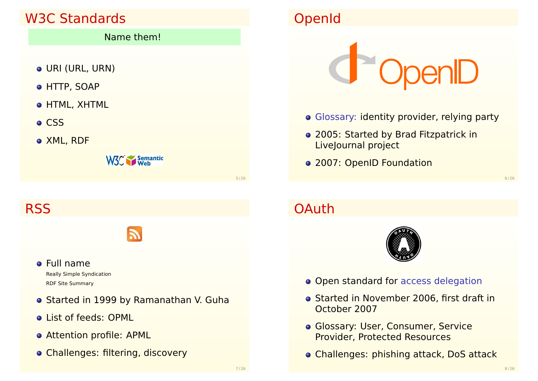# W3C Standards

#### Name them!

- URI (URL, URN)
- HTTP, SOAP
- HTML, XHTML
- o CSS
- XML, RDF

W<sub>3</sub><sup>c</sup> Semantic

**RSS** 



- Full name Really Simple Syndication RDF Site Summary
- **o** Started in 1999 by Ramanathan V. Guha
- **.** List of feeds: OPML
- Attention profile: APML
- Challenges: filtering, discovery

# OpenId



- Glossary: identity provider, relying party
- 2005: Started by Brad Fitzpatrick in LiveJournal project
- 2007: OpenID Foundation

6 / 26

# **OAuth**



- **Open standard for access delegation**
- **Started in November 2006, first draft in** October 2007
- **Glossary: User, Consumer, Service** Provider, Protected Resources
- Challenges: phishing attack, DoS attack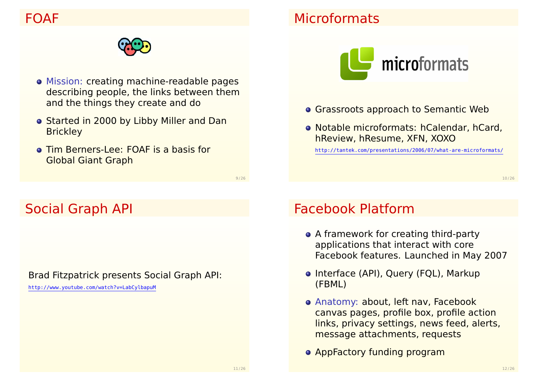### FOAF



- Mission: creating machine-readable pages describing people, the links between them and the things they create and do
- **Started in 2000 by Libby Miller and Dan Brickley**
- Tim Berners-Lee: FOAF is a basis for Global Giant Graph

9 / 26

## Social Graph API

Brad Fitzpatrick presents Social Graph API:

http://www.youtube.com/watch?v=LabCylbapuM

# **Microformats**



- **Grassroots approach to Semantic Web**
- Notable microformats: hCalendar, hCard, hReview, hResume, XFN, XOXO

http://tantek.com/presentations/2006/07/what-are-microformats/

10 / 26

# Facebook Platform

- A framework for creating third-party applications that interact with core Facebook features. Launched in May 2007
- Interface (API), Query (FQL), Markup (FBML)
- Anatomy: about, left nav, Facebook canvas pages, profile box, profile action links, privacy settings, news feed, alerts, message attachments, requests
- **AppFactory funding program**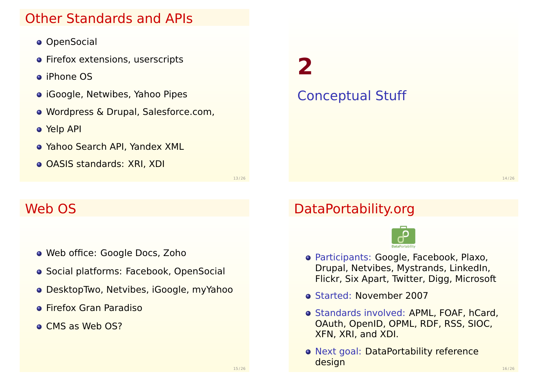### Other Standards and APIs

- **o** OpenSocial
- **•** Firefox extensions, userscripts
- iPhone OS
- iGoogle, Netwibes, Yahoo Pipes
- Wordpress & Drupal, Salesforce.com,
- Yelp API
- Yahoo Search API, Yandex XML
- **o** OASIS standards: XRI, XDI

13 / 26

### Web OS

- Web office: Google Docs, Zoho
- **Social platforms: Facebook, OpenSocial**
- DesktopTwo, Netvibes, iGoogle, myYahoo
- **•** Firefox Gran Paradiso
- **CMS as Web OS?**

## DataPortability.org

Conceptual Stuff

**2**



- Participants: Google, Facebook, Plaxo, Drupal, Netvibes, Mystrands, LinkedIn, Flickr, Six Apart, Twitter, Digg, Microsoft
- Started: November 2007
- **Standards involved: APML, FOAF, hCard,** OAuth, OpenID, OPML, RDF, RSS, SIOC, XFN, XRI, and XDI.
- <span id="page-3-0"></span>o Next goal: DataPortability reference design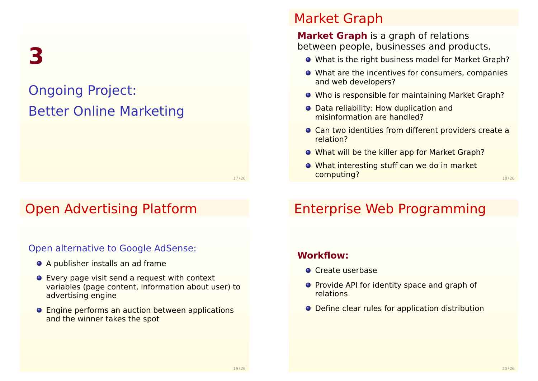**3**

# Ongoing Project: Better Online Marketing

17 / 26

# Open Advertising Platform

#### Open alternative to Google AdSense:

- A publisher installs an ad frame
- Every page visit send a request with context variables (page content, information about user) to advertising engine
- **•** Engine performs an auction between applications and the winner takes the spot

### Market Graph

**Market Graph** is a graph of relations between people, businesses and products.

- What is the right business model for Market Graph?
- What are the incentives for consumers, companies and web developers?
- O Who is responsible for maintaining Market Graph?
- Data reliability: How duplication and misinformation are handled?
- Can two identities from different providers create a relation?
- What will be the killer app for Market Graph?
- What interesting stuff can we do in market computing? 18 / 26

# Enterprise Web Programming

#### **Workflow:**

- **O** Create userbase
- **•** Provide API for identity space and graph of relations
- <span id="page-4-0"></span>● Define clear rules for application distribution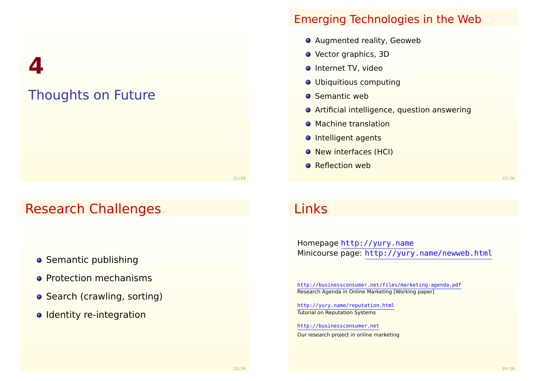**4**

# Thoughts on Future

### Emerging Technologies in the Web

- **•** Augmented reality, Geoweb
- **•** Vector graphics, 3D
- **O** Internet TV, video
- **O** Ubiquitious computing
- **O** Semantic web
- Artificial intelligence, question answering
- **Machine translation**
- **O** Intelligent agents
- **O** New interfaces (HCI)
- **O** Reflection web

21/26

# Research Challenges

- **S[eman](http://yury.name)[tic publishing](http://yury.name/newweb.html)**
- **Protection mechanisms**
- [Search \(crawling, sorting\)](http://businessconsumer.net/files/marketing-agenda.pdf)
- o [Identity re-int](http://yury.name/reputation.html)egration

# Links

Homepage http://yury.name Minicourse page: http://yury.name/newweb.html

http://businessconsumer.net/files/marketing-agenda.pdf Research Agenda in Online Marketing [Working paper]

http://yury.name/reputation.html Tutorial on Reputation Systems

<span id="page-5-0"></span>http://businessconsumer.net Our research project in online marketing